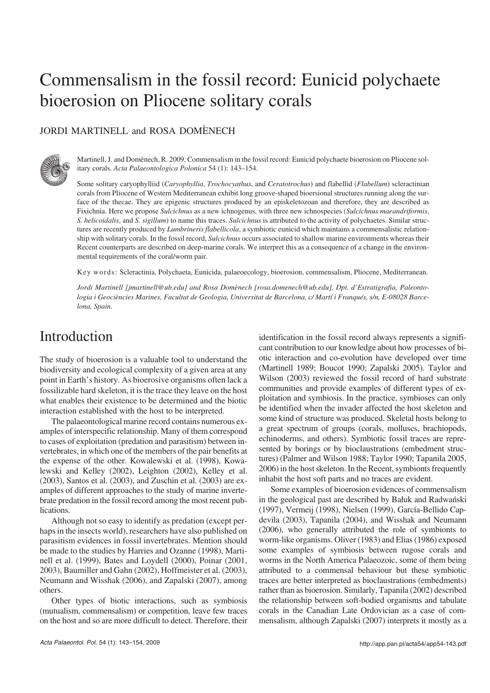# Commensalism in the fossil record: Eunicid polychaete bioerosion on Pliocene solitary corals

### JORDI MARTINELL and ROSA DOMÈNECH



Martinell, J. and Domènech, R. 2009. Commensalism in the fossil record: Eunicid polychaete bioerosion on Pliocene sol− itary corals. *Acta Palaeontologica Polonica* 54 (1): 143–154.

Some solitary caryophylliid (*Caryophyllia*, *Trochocyathus*, and *Ceratotrochus*) and flabellid (*Flabellum*) scleractinian corals from Pliocene of Western Mediterranean exhibit long groove−shaped bioersional structures running along the sur− face of the thecae. They are epigenic structures produced by an episkeletozoan and therefore, they are described as Fixichnia. Here we propose *Sulcichnus* as a new ichnogenus, with three new ichnospecies (*Sulcichnus maeandriformis*, *S. helicoidalis*, and *S. sigillum*) to name this traces. *Sulcichnus* is attributed to the activity of polychaetes. Similar struc− tures are recently produced by *Lumbrineris flabellicola*, a symbiotic eunicid which maintains a commensalistic relation− ship with solitary corals. In the fossil record, *Sulcichnus* occurs associated to shallow marine environments whereas their Recent counterparts are described on deep−marine corals. We interpret this as a consequence of a change in the environ− mental requirements of the coral/worm pair.

Key words: Scleractinia, Polychaeta, Eunicida, palaeoecology, bioerosion, commensalism, Pliocene, Mediterranean.

*Jordi Martinell [jmartinell@ub.edu] and Rosa Domènech [rosa.domenech@ub.edu], Dpt. d'Estratigrafia, Paleonto− logia i Geociències Marines, Facultat de Geologia, Universitat de Barcelona, c/ Martí i Franqués, s/n, E−08028 Barce− lona, Spain.*

### Introduction

The study of bioerosion is a valuable tool to understand the biodiversity and ecological complexity of a given area at any point in Earth's history. As bioerosive organisms often lack a fossilizable hard skeleton, it is the trace they leave on the host what enables their existence to be determined and the biotic interaction established with the host to be interpreted.

The palaeontological marine record contains numerous ex− amples of interspecific relationship. Many of them correspond to cases of exploitation (predation and parasitism) between in− vertebrates, in which one of the members of the pair benefits at the expense of the other. Kowalewski et al. (1998), Kowa− lewski and Kelley (2002), Leighton (2002), Kelley et al. (2003), Santos et al. (2003), and Zuschin et al. (2003) are ex− amples of different approaches to the study of marine inverte− brate predation in the fossil record among the most recent pub− lications.

Although not so easy to identify as predation (except per− haps in the insects world), researchers have also published on parasitism evidences in fossil invertebrates. Mention should be made to the studies by Harries and Ozanne (1998), Marti− nell et al. (1999), Bates and Loydell (2000), Poinar (2001, 2003), Baumiller and Gahn (2002), Hoffmeister et al. (2003), Neumann and Wisshak (2006), and Zapalski (2007), among others.

Other types of biotic interactions, such as symbiosis (mutualism, commensalism) or competition, leave few traces on the host and so are more difficult to detect. Therefore, their identification in the fossil record always represents a signifi− cant contribution to our knowledge about how processes of bi− otic interaction and co−evolution have developed over time (Martinell 1989; Boucot 1990; Zapalski 2005). Taylor and Wilson (2003) reviewed the fossil record of hard substrate communities and provide examples of different types of ex− ploitation and symbiosis. In the practice, symbioses can only be identified when the invader affected the host skeleton and some kind of structure was produced. Skeletal hosts belong to a great spectrum of groups (corals, molluscs, brachiopods, echinoderms, and others). Symbiotic fossil traces are repre− sented by borings or by bioclaustrations (embedment struc− tures) (Palmer and Wilson 1988; Taylor 1990; Tapanila 2005, 2006) in the host skeleton. In the Recent, symbionts frequently inhabit the host soft parts and no traces are evident.

Some examples of bioerosion evidences of commensalism in the geological past are described by Bałuk and Radwański (1997), Vermeij (1998), Nielsen (1999), García−Bellido Cap− devila (2003), Tapanila (2004), and Wisshak and Neumann (2006), who generally attributed the role of symbionts to worm−like organisms. Oliver (1983) and Elias (1986) exposed some examples of symbiosis between rugose corals and worms in the North America Palaeozoic, some of them being attributed to a commensal behaviour but these symbiotic traces are better interpreted as bioclaustrations (embedments) rather than as bioerosion. Similarly, Tapanila (2002) described the relationship between soft−bodied organisms and tabulate corals in the Canadian Late Ordovician as a case of com− mensalism, although Zapalski (2007) interprets it mostly as a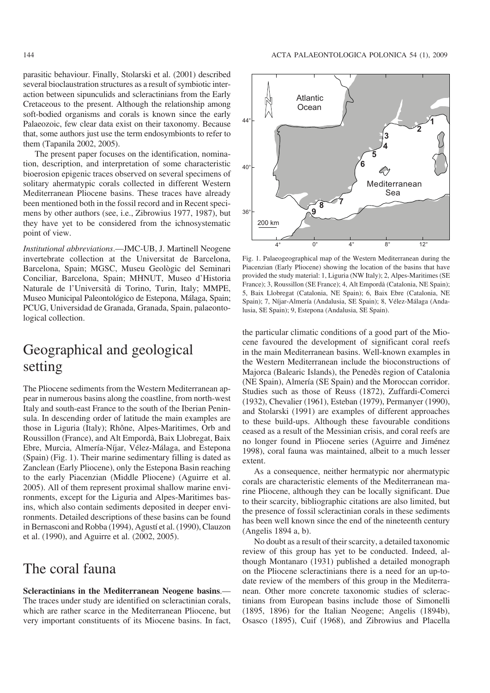parasitic behaviour. Finally, Stolarski et al. (2001) described several bioclaustration structures as a result of symbiotic inter− action between sipunculids and scleractinians from the Early Cretaceous to the present. Although the relationship among soft−bodied organisms and corals is known since the early Palaeozoic, few clear data exist on their taxonomy. Because that, some authors just use the term endosymbionts to refer to them (Tapanila 2002, 2005).

The present paper focuses on the identification, nomina tion, description, and interpretation of some characteristic bioerosion epigenic traces observed on several specimens of solitary ahermatypic corals collected in different Western Mediterranean Pliocene basins. These traces have already been mentioned both in the fossil record and in Recent speci− mens by other authors (see, i.e., Zibrowius 1977, 1987), but they have yet to be considered from the ichnosystematic point of view.

*Institutional abbreviations*.—JMC−UB, J. Martinell Neogene invertebrate collection at the Universitat de Barcelona, Barcelona, Spain; MGSC, Museu Geològic del Seminari Conciliar, Barcelona, Spain; MHNUT, Museo d'Historia Naturale de l'Università di Torino, Turin, Italy; MMPE, Museo Municipal Paleontológico de Estepona, Málaga, Spain; PCUG, Universidad de Granada, Granada, Spain, palaeonto− logical collection.

## Geographical and geological setting

The Pliocene sediments from the Western Mediterranean ap− pear in numerous basins along the coastline, from north−west Italy and south−east France to the south of the Iberian Penin− sula. In descending order of latitude the main examples are those in Liguria (Italy); Rhône, Alpes−Maritimes, Orb and Roussillon (France), and Alt Empordà, Baix Llobregat, Baix Ebre, Murcia, Almería−Níjar, Vélez−Málaga, and Estepona (Spain) (Fig. 1). Their marine sedimentary filling is dated as Zanclean (Early Pliocene), only the Estepona Basin reaching to the early Piacenzian (Middle Pliocene) (Aguirre et al. 2005). All of them represent proximal shallow marine envi− ronments, except for the Liguria and Alpes−Maritimes bas− ins, which also contain sediments deposited in deeper envi− ronments. Detailed descriptions of these basins can be found in Bernasconi and Robba (1994), Agustí et al. (1990), Clauzon et al. (1990), and Aguirre et al. (2002, 2005).

### The coral fauna

**Scleractinians in the Mediterranean Neogene basins**.— The traces under study are identified on scleractinian corals, which are rather scarce in the Mediterranean Pliocene, but very important constituents of its Miocene basins. In fact,



Fig. 1. Palaeogeographical map of the Western Mediterranean during the Piacenzian (Early Pliocene) showing the location of the basins that have provided the study material: 1, Liguria (NW Italy); 2, Alpes−Maritimes (SE France); 3, Roussillon (SE France); 4, Alt Empordà (Catalonia, NE Spain); 5, Baix Llobregat (Catalonia, NE Spain); 6, Baix Ebre (Catalonia, NE Spain); 7, Níjar−Almería (Andalusia, SE Spain); 8, Vélez−Málaga (Anda− lusia, SE Spain); 9, Estepona (Andalusia, SE Spain).

the particular climatic conditions of a good part of the Mio− cene favoured the development of significant coral reefs in the main Mediterranean basins. Well−known examples in the Western Mediterranean include the bioconstructions of Majorca (Balearic Islands), the Penedès region of Catalonia (NE Spain), Almería (SE Spain) and the Moroccan corridor. Studies such as those of Reuss (1872), Zuffardi−Comerci (1932), Chevalier (1961), Esteban (1979), Permanyer (1990), and Stolarski (1991) are examples of different approaches to these build−ups. Although these favourable conditions ceased as a result of the Messinian crisis, and coral reefs are no longer found in Pliocene series (Aguirre and Jiménez 1998), coral fauna was maintained, albeit to a much lesser extent.

As a consequence, neither hermatypic nor ahermatypic corals are characteristic elements of the Mediterranean ma− rine Pliocene, although they can be locally significant. Due to their scarcity, bibliographic citations are also limited, but the presence of fossil scleractinian corals in these sediments has been well known since the end of the nineteenth century (Angelis 1894 a, b).

No doubt as a result of their scarcity, a detailed taxonomic review of this group has yet to be conducted. Indeed, al− though Montanaro (1931) published a detailed monograph on the Pliocene scleractinians there is a need for an up−to− date review of the members of this group in the Mediterra− nean. Other more concrete taxonomic studies of sclerac− tinians from European basins include those of Simonelli (1895, 1896) for the Italian Neogene; Angelis (1894b), Osasco (1895), Cuif (1968), and Zibrowius and Placella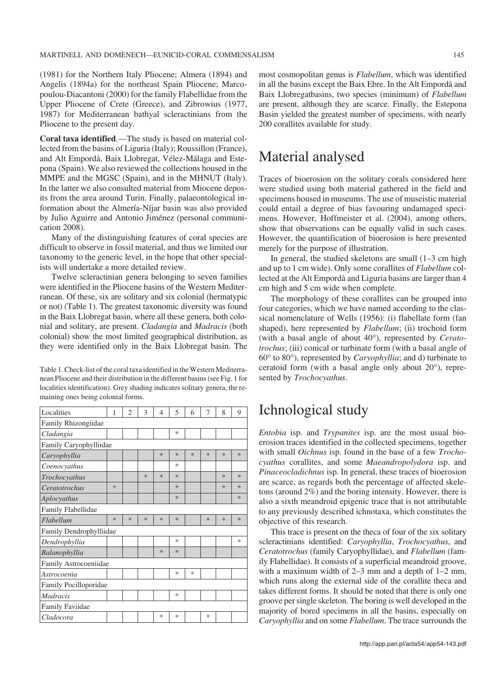(1981) for the Northern Italy Pliocene; Almera (1894) and Angelis (1894a) for the northeast Spain Pliocene; Marco− poulou−Diacantoni (2000) for the family Flabellidae from the Upper Pliocene of Crete (Greece), and Zibrowius (1977, 1987) for Mediterranean bathyal scleractinians from the Pliocene to the present day.

**Coral taxa identified**.—The study is based on material col− lected from the basins of Liguria (Italy); Roussillon (France), and Alt Empordà, Baix Llobregat, Vélez−Málaga and Este− pona (Spain). We also reviewed the collections housed in the MMPE and the MGSC (Spain), and in the MHNUT (Italy). In the latter we also consulted material from Miocene depos− its from the area around Turin. Finally, palaeontological in− formation about the Almería−Níjar basin was also provided by Julio Aguirre and Antonio Jiménez (personal communi− cation 2008).

Many of the distinguishing features of coral species are difficult to observe in fossil material, and thus we limited our taxonomy to the generic level, in the hope that other special− ists will undertake a more detailed review.

Twelve scleractinian genera belonging to seven families were identified in the Pliocene basins of the Western Mediter− ranean. Of these, six are solitary and six colonial (hermatypic or not) (Table 1). The greatest taxonomic diversity was found in the Baix Llobregat basin, where all these genera, both colo− nial and solitary, are present. *Cladangia* and *Madracis* (both colonial) show the most limited geographical distribution, as they were identified only in the Baix Llobregat basin. The

Table 1. Check−list of the coral taxa identified in the Western Mediterra− nean Pliocene and their distribution in the different basins (see Fig. 1 for localities identification). Grey shading indicates solitary genera, the re− maining ones being colonial forms.

| Localities              | 1      | $\overline{c}$ | 3      | 4      | 5      | 6 | 7      | 8      | 9      |
|-------------------------|--------|----------------|--------|--------|--------|---|--------|--------|--------|
| Family Rhizongiidae     |        |                |        |        |        |   |        |        |        |
| Cladangia               |        |                |        |        | *      |   |        |        |        |
| Family Caryophylliidae  |        |                |        |        |        |   |        |        |        |
| Caryophyllia            |        |                |        | ∗      | *      | * | $\ast$ | *      | *      |
| Coenocyathus            |        |                |        |        | *      |   |        |        |        |
| Trochocyathus           |        |                | *      | $\ast$ | $\ast$ |   |        | *      | $\ast$ |
| Ceratotrochus           | $\ast$ |                |        |        | $\ast$ |   |        | $\ast$ | $\ast$ |
| Aplocyathus             |        |                |        |        | $\ast$ |   |        |        | $\ast$ |
| Family Flabellidae      |        |                |        |        |        |   |        |        |        |
| Flabellum               | $\ast$ | $\ast$         | $\ast$ | *      | $\ast$ |   | $\ast$ | $\ast$ | $\ast$ |
| Family Dendrophylliidae |        |                |        |        |        |   |        |        |        |
| Dendrophyllia           |        |                |        |        | $\ast$ |   |        |        | $\ast$ |
| Balanophyllia           |        |                |        | $\ast$ | $\ast$ |   |        |        |        |
| Family Astrocoeniidae   |        |                |        |        |        |   |        |        |        |
| Astrocoenia             |        |                |        |        | *      | * |        |        |        |
| Family Pocilloporidae   |        |                |        |        |        |   |        |        |        |
| <i>Madracis</i>         |        |                |        |        | *      |   |        |        |        |
| <b>Family Faviidae</b>  |        |                |        |        |        |   |        |        |        |
| Cladocora               |        |                |        | *      | *      |   | *      |        |        |

most cosmopolitan genus is *Flabellum*, which was identified in all the basins except the Baix Ebre. In the Alt Empordà and Baix Llobregatbasins, two species (minimum) of *Flabellum* are present, although they are scarce. Finally, the Estepona Basin yielded the greatest number of specimens, with nearly 200 corallites available for study.

### Material analysed

Traces of bioerosion on the solitary corals considered here were studied using both material gathered in the field and specimens housed in museums. The use of museistic material could entail a degree of bias favouring undamaged speci− mens. However, Hoffmeister et al. (2004), among others, show that observations can be equally valid in such cases. However, the quantification of bioerosion is here presented merely for the purpose of illustration.

In general, the studied skeletons are small (1–3 cm high and up to 1 cm wide). Only some corallites of *Flabellum* col− lected at the Alt Empordà and Liguria basins are larger than 4 cm high and 5 cm wide when complete.

The morphology of these corallites can be grouped into four categories, which we have named according to the clas− sical nomenclature of Wells (1956): (i) flabellate form (fan shaped), here represented by *Flabellum*; (ii) trochoid form shaped), here represented by *Flabellum*; (ii) trochoid form (with a basal angle of about 40°), represented by *Ceratotrochus*; (iii) conical or turbinate form (with a basal angle of *trochus*; (iii) conical or turbinate form (with a basal angle of 60° to 80°), represented by *Caryophyllia*; and d) turbinate to 60 $\degree$  to 80 $\degree$ ), represented by *Caryophyllia*; and d) turbinate to ceratoid form (with a basal angle only about 20 $\degree$ ), represented by *Trochocyathus*.

## Ichnological study

*Entobia* isp. and *Trypanites* isp. are the most usual bio− erosion traces identified in the collected specimens, together with small *Oichnus* isp. found in the base of a few *Trocho− cyathus* corallites, and some *Maeandropolydora* isp. and *Pinaceocladichnus* isp. In general, these traces of bioerosion are scarce, as regards both the percentage of affected skele− tons (around 2%) and the boring intensity. However, there is also a sixth meandroid epigenic trace that is not attributable to any previously described ichnotaxa, which constitutes the objective of this research.

This trace is present on the theca of four of the six solitary scleractinians identified: *Caryophyllia*, *Trochocyathus*, and *Ceratotrochus* (family Caryophyllidae), and *Flabellum* (fam− ily Flabellidae). It consists of a superficial meandroid groove, with a maximum width of 2–3 mm and a depth of 1–2 mm, which runs along the external side of the corallite theca and takes different forms. It should be noted that there is only one groove per single skeleton. The boring is well developed in the majority of bored specimens in all the basins, especially on *Caryophyllia* and on some *Flabellum*. The trace surrounds the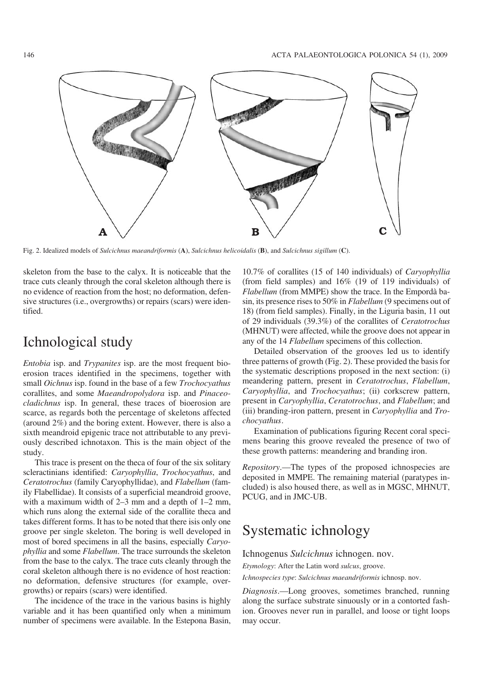

Fig. 2. Idealized models of *Sulcichnus maeandriformis* (**A**), *Sulcichnus helicoidalis* (**B**), and *Sulcichnus sigillum* (**C**).

skeleton from the base to the calyx. It is noticeable that the trace cuts cleanly through the coral skeleton although there is no evidence of reaction from the host; no deformation, defen− sive structures (i.e., overgrowths) or repairs (scars) were iden− tified.

### Ichnological study

*Entobia* isp. and *Trypanites* isp. are the most frequent bio− erosion traces identified in the specimens, together with small *Oichnus* isp. found in the base of a few *Trochocyathus* corallites, and some *Maeandropolydora* isp. and *Pinaceo− cladichnus* isp. In general, these traces of bioerosion are scarce, as regards both the percentage of skeletons affected (around 2%) and the boring extent. However, there is also a sixth meandroid epigenic trace not attributable to any previ− ously described ichnotaxon. This is the main object of the study.

This trace is present on the theca of four of the six solitary scleractinians identified: *Caryophyllia*, *Trochocyathus*, and *Ceratotrochus* (family Caryophyllidae), and *Flabellum* (fam− ily Flabellidae). It consists of a superficial meandroid groove, with a maximum width of 2–3 mm and a depth of 1–2 mm, which runs along the external side of the corallite theca and takes different forms. It has to be noted that there isis only one groove per single skeleton. The boring is well developed in most of bored specimens in all the basins, especially *Caryo− phyllia* and some *Flabellum*. The trace surrounds the skeleton from the base to the calyx. The trace cuts cleanly through the coral skeleton although there is no evidence of host reaction: no deformation, defensive structures (for example, over− growths) or repairs (scars) were identified.

The incidence of the trace in the various basins is highly variable and it has been quantified only when a minimum number of specimens were available. In the Estepona Basin,

10.7% of corallites (15 of 140 individuals) of *Caryophyllia* (from field samples) and 16% (19 of 119 individuals) of *Flabellum* (from MMPE) show the trace. In the Empordà ba− sin, its presence rises to 50% in *Flabellum* (9 specimens out of 18) (from field samples). Finally, in the Liguria basin, 11 out of 29 individuals (39.3%) of the corallites of *Ceratotrochus* (MHNUT) were affected, while the groove does not appear in any of the 14 *Flabellum* specimens of this collection.

Detailed observation of the grooves led us to identify three patterns of growth (Fig. 2). These provided the basis for the systematic descriptions proposed in the next section: (i) meandering pattern, present in *Ceratotrochus*, *Flabellum*, *Caryophyllia*, and *Trochocyathus*; (ii) corkscrew pattern, present in *Caryophyllia*, *Ceratotrochus*, and *Flabellum*; and (iii) branding−iron pattern, present in *Caryophyllia* and *Tro− chocyathus*.

Examination of publications figuring Recent coral speci− mens bearing this groove revealed the presence of two of these growth patterns: meandering and branding iron.

*Repository*.—The types of the proposed ichnospecies are deposited in MMPE. The remaining material (paratypes in− cluded) is also housed there, as well as in MGSC, MHNUT, PCUG, and in JMC−UB.

## Systematic ichnology

Ichnogenus *Sulcichnus* ichnogen. nov.

*Etymology*: After the Latin word *sulcus*, groove.

*Ichnospecies type*: *Sulcichnus maeandriformis* ichnosp. nov.

*Diagnosis*.—Long grooves, sometimes branched, running along the surface substrate sinuously or in a contorted fash− ion. Grooves never run in parallel, and loose or tight loops may occur.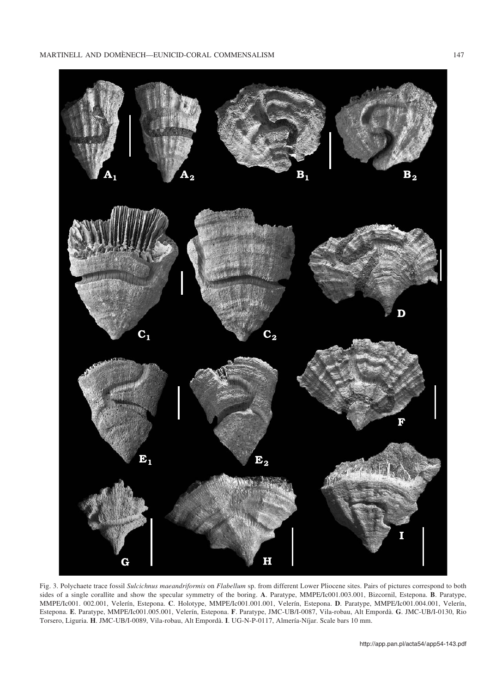

Fig. 3. Polychaete trace fossil *Sulcichnus maeandriformis* on *Flabellum* sp. from different Lower Pliocene sites. Pairs of pictures correspond to both sides of a single corallite and show the specular symmetry of the boring. **A**. Paratype, MMPE/Ic001.003.001, Bizcornil, Estepona. **B**. Paratype, MMPE/Ic001. 002.001, Velerín, Estepona. **C**. Holotype, MMPE/Ic001.001.001, Velerín, Estepona. **D**. Paratype, MMPE/Ic001.004.001, Velerín, Estepona. **E**. Paratype, MMPE/Ic001.005.001, Velerín, Estepona. **F**. Paratype, JMC−UB/I−0087, Vila−robau, Alt Empordà. **G**. JMC−UB/I−0130, Rio Torsero, Liguria. **H**. JMC−UB/I−0089, Vila−robau, Alt Empordà. **I**. UG−N−P−0117, Almería−Níjar. Scale bars 10 mm.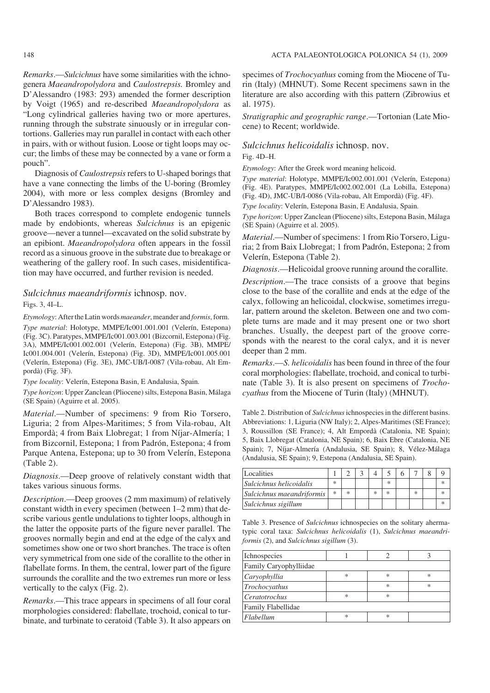*Remarks*.—*Sulcichnus* have some similarities with the ichno− genera *Maeandropolydora* and *Caulostrepsis.* Bromley and D'Alessandro (1983: 293) amended the former description by Voigt (1965) and re−described *Maeandropolydora* as "Long cylindrical galleries having two or more apertures, running through the substrate sinuously or in irregular con− tortions. Galleries may run parallel in contact with each other in pairs, with or without fusion. Loose or tight loops may oc− cur; the limbs of these may be connected by a vane or form a pouch".

Diagnosis of *Caulostrepsis* refers to U−shaped borings that have a vane connecting the limbs of the U−boring (Bromley 2004), with more or less complex designs (Bromley and D'Alessandro 1983).

Both traces correspond to complete endogenic tunnels made by endobionts, whereas *Sulcichnus* is an epigenic groove—never a tunnel—excavated on the solid substrate by an epibiont. *Maeandropolydora* often appears in the fossil record as a sinuous groove in the substrate due to breakage or weathering of the gallery roof. In such cases, misidentifica− tion may have occurred, and further revision is needed.

#### *Sulcichnus maeandriformis* ichnosp. nov.

Figs. 3, 4I–L.

*Etymology*: After the Latin words*maeander*, meander and *formis*, form. *Type material*: Holotype, MMPE/Ic001.001.001 (Velerín, Estepona) (Fig. 3C). Paratypes, MMPE/Ic001.003.001 (Bizcornil, Estepona) (Fig. 3A), MMPE/Ic001.002.001 (Velerín, Estepona) (Fig. 3B), MMPE/ Ic001.004.001 (Velerín, Estepona) (Fig. 3D), MMPE/Ic001.005.001 (Velerín, Estepona) (Fig. 3E), JMC−UB/I−0087 (Vila−robau, Alt Em− pordà) (Fig. 3F).

*Type locality*: Velerín, Estepona Basin, E Andalusia, Spain.

*Type horizon*: Upper Zanclean (Pliocene) silts, Estepona Basin, Málaga (SE Spain) (Aguirre et al. 2005).

*Material*.—Number of specimens: 9 from Rio Torsero, Liguria; 2 from Alpes−Maritimes; 5 from Vila−robau, Alt Empordà; 4 from Baix Llobregat; 1 from Níjar−Almería; 1 from Bizcornil, Estepona; 1 from Padrón, Estepona; 4 from Parque Antena, Estepona; up to 30 from Velerín, Estepona (Table 2).

*Diagnosis*.—Deep groove of relatively constant width that takes various sinuous forms.

*Description*.—Deep grooves (2 mm maximum) of relatively constant width in every specimen (between 1–2 mm) that de− scribe various gentle undulations to tighter loops, although in the latter the opposite parts of the figure never parallel. The grooves normally begin and end at the edge of the calyx and sometimes show one or two short branches. The trace is often very symmetrical from one side of the corallite to the other in flabellate forms. In them, the central, lower part of the figure surrounds the corallite and the two extremes run more or less vertically to the calyx (Fig. 2).

*Remarks*.—This trace appears in specimens of all four coral morphologies considered: flabellate, trochoid, conical to tur− binate, and turbinate to ceratoid (Table 3). It also appears on specimes of *Trochocyathus* coming from the Miocene of Tu− rin (Italy) (MHNUT). Some Recent specimens sawn in the literature are also according with this pattern (Zibrowius et al. 1975).

*Stratigraphic and geographic range*.—Tortonian (Late Mio− cene) to Recent; worldwide.

### *Sulcichnus helicoidalis* ichnosp. nov.

### Fig. 4D–H.

*Etymology*: After the Greek word meaning helicoid.

*Type material*: Holotype, MMPE/Ic002.001.001 (Velerín, Estepona) (Fig. 4E). Paratypes, MMPE/Ic002.002.001 (La Lobilla, Estepona) (Fig. 4D), JMC−UB/I−0086 (Vila−robau, Alt Empordà) (Fig. 4F).

*Type locality*: Velerín, Estepona Basin, E Andalusia, Spain.

*Type horizon*: Upper Zanclean (Pliocene) silts, Estepona Basin, Málaga (SE Spain) (Aguirre et al. 2005).

*Material*.—Number of specimens: 1 from Rio Torsero, Ligu− ria; 2 from Baix Llobregat; 1 from Padrón, Estepona; 2 from Velerín, Estepona (Table 2).

*Diagnosis*.—Helicoidal groove running around the corallite.

*Description*.—The trace consists of a groove that begins close to the base of the corallite and ends at the edge of the calyx, following an helicoidal, clockwise, sometimes irregu− lar, pattern around the skeleton. Between one and two com− plete turns are made and it may present one or two short branches. Usually, the deepest part of the groove corre− sponds with the nearest to the coral calyx, and it is never deeper than 2 mm.

*Remarks*.—*S. helicoidalis* has been found in three of the four coral morphologies: flabellate, trochoid, and conical to turbi− nate (Table 3). It is also present on specimens of *Trocho− cyathus* from the Miocene of Turin (Italy) (MHNUT).

Table 2. Distribution of *Sulcichnus*ichnospecies in the different basins. Abbreviations: 1, Liguria (NW Italy); 2, Alpes−Maritimes (SE France); 3, Roussillon (SE France); 4, Alt Empordà (Catalonia, NE Spain); 5, Baix Llobregat (Catalonia, NE Spain); 6, Baix Ebre (Catalonia, NE Spain); 7, Níjar−Almería (Andalusia, SE Spain); 8, Vélez−Málaga (Andalusia, SE Spain); 9, Estepona (Andalusia, SE Spain).

| Localities                |        |   |  |        |        |  |
|---------------------------|--------|---|--|--------|--------|--|
| Sulcichnus helicoidalis   | $\ast$ |   |  | $\ast$ |        |  |
| Sulcichnus maeandriformis | ×      | × |  | ∗      | $\ast$ |  |
| Sulcichnus sigillum       |        |   |  |        |        |  |

Table 3. Presence of *Sulcichnus* ichnospecies on the solitary aherma− typic coral taxa: *Sulcichnus helicoidalis* (1), *Sulcichnus maeandri− formis* (2), and *Sulcichnus sigillum* (3).

| Ichnospecies           |        |        |   |  |  |  |  |  |
|------------------------|--------|--------|---|--|--|--|--|--|
| Family Caryophylliidae |        |        |   |  |  |  |  |  |
| Caryophyllia           | *      | ∗      | * |  |  |  |  |  |
| Trochocyathus          |        | $\ast$ | * |  |  |  |  |  |
| Ceratotrochus          | $\ast$ | $\ast$ |   |  |  |  |  |  |
| Family Flabellidae     |        |        |   |  |  |  |  |  |
| Flabellum              | $\ast$ | ∗      |   |  |  |  |  |  |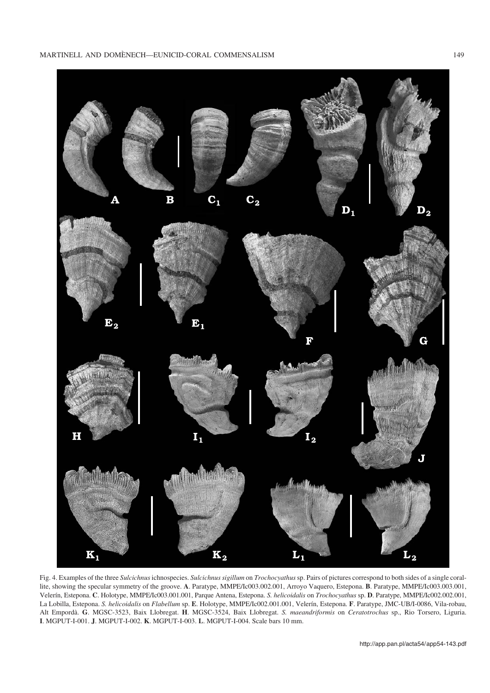

Fig. 4. Examples of the three *Sulcichnus*ichnospecies. *Sulcichnus sigillum* on *Trochocyathus*sp. Pairs of pictures correspond to both sides of a single coral− lite, showing the specular symmetry of the groove. **A**. Paratype, MMPE/Ic003.002.001, Arroyo Vaquero, Estepona. **B**. Paratype, MMPE/Ic003.003.001, Velerín, Estepona. **C**. Holotype, MMPE/Ic003.001.001, Parque Antena, Estepona. *S. helicoidalis* on *Trochocyathus* sp. **D**. Paratype, MMPE/Ic002.002.001, La Lobilla, Estepona. *S. helicoidalis* on *Flabellum* sp. **E**. Holotype, MMPE/Ic002.001.001, Velerín, Estepona. **F**. Paratype, JMC−UB/I−0086, Vila−robau, Alt Empordà. **G**. MGSC−3523, Baix Llobregat. **H**. MGSC−3524, Baix Llobregat. *S. maeandriformis* on *Ceratotrochus* sp., Rio Torsero, Liguria. **I**. MGPUT−I−001. **J**. MGPUT−I−002. **K**. MGPUT−I−003. **L**. MGPUT−I−004. Scale bars 10 mm.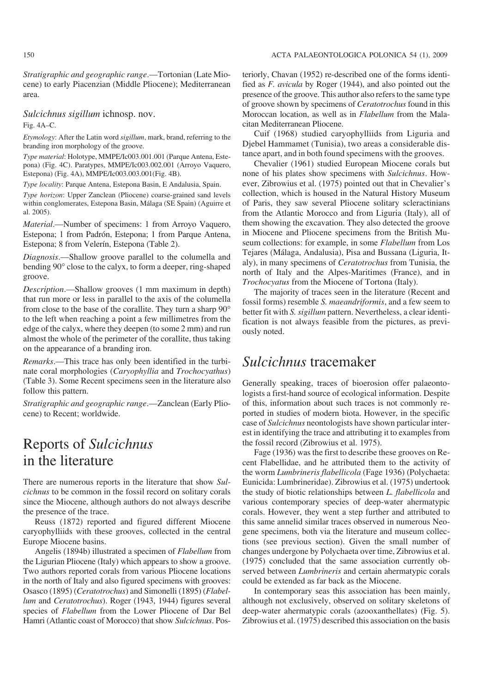*Stratigraphic and geographic range*.—Tortonian (Late Mio− cene) to early Piacenzian (Middle Pliocene); Mediterranean area.

### *Sulcichnus sigillum* ichnosp. nov.

Fig. 4A–C.

*Etymology*: After the Latin word *sigillum*, mark, brand, referring to the branding iron morphology of the groove.

*Type material*: Holotype, MMPE/Ic003.001.001 (Parque Antena, Este− pona) (Fig. 4C). Paratypes, MMPE/Ic003.002.001 (Arroyo Vaquero, Estepona) (Fig. 4A), MMPE/Ic003.003.001(Fig. 4B).

*Type locality*: Parque Antena, Estepona Basin, E Andalusia, Spain.

*Type horizon*: Upper Zanclean (Pliocene) coarse−grained sand levels within conglomerates, Estepona Basin, Málaga (SE Spain) (Aguirre et al. 2005).

*Material*.—Number of specimens: 1 from Arroyo Vaquero, Estepona; 1 from Padrón, Estepona; 1 from Parque Antena, Estepona; 8 from Velerín, Estepona (Table 2).

*Diagnosis*.—Shallow groove parallel to the columella and bending 90° close to the calyx, to form a deeper, ring-shaped bending 90° close to the calyx, to form a deeper, ring-shaped groove.

*Description*.—Shallow grooves (1 mm maximum in depth) that run more or less in parallel to the axis of the columellar<br>from close to the base of the corallite. They turn a sharp 90<sup>o</sup> from close to the base of the corallite. They turn a sharp 90° to the left when reaching a point a few millimetres from the edge of the calyx, where they deepen (to some 2 mm) and run almost the whole of the perimeter of the corallite, thus taking on the appearance of a branding iron.

*Remarks*.—This trace has only been identified in the turbi− nate coral morphologies (*Caryophyllia* and *Trochocyathus*) (Table 3). Some Recent specimens seen in the literature also follow this pattern.

*Stratigraphic and geographic range*.—Zanclean (Early Plio− cene) to Recent; worldwide.

## Reports of *Sulcichnus* in the literature

There are numerous reports in the literature that show *Sul− cichnus* to be common in the fossil record on solitary corals since the Miocene, although authors do not always describe the presence of the trace.

Reuss (1872) reported and figured different Miocene caryophylliids with these grooves, collected in the central Europe Miocene basins.

Angelis (1894b) illustrated a specimen of *Flabellum* from the Ligurian Pliocene (Italy) which appears to show a groove. Two authors reported corals from various Pliocene locations in the north of Italy and also figured specimens with grooves: Osasco (1895) (*Ceratotrochus*) and Simonelli (1895) (*Flabel− lum* and *Ceratotrochus*). Roger (1943, 1944) figures several species of *Flabellum* from the Lower Pliocene of Dar Bel Hamri (Atlantic coast of Morocco) that show *Sulcichnus*. Pos−

teriorly, Chavan (1952) re−described one of the forms identi− fied as *F. avicula* by Roger (1944), and also pointed out the presence of the groove. This author also refers to the same type of groove shown by specimens of *Ceratotrochus* found in this Moroccan location, as well as in *Flabellum* from the Mala− citan Mediterranean Pliocene.

Cuif (1968) studied caryophylliids from Liguria and Djebel Hammamet (Tunisia), two areas a considerable dis− tance apart, and in both found specimens with the grooves.

Chevalier (1961) studied European Miocene corals but none of his plates show specimens with *Sulcichnus*. How− ever, Zibrowius et al. (1975) pointed out that in Chevalier's collection, which is housed in the Natural History Museum of Paris, they saw several Pliocene solitary scleractinians from the Atlantic Morocco and from Liguria (Italy), all of them showing the excavation. They also detected the groove in Miocene and Pliocene specimens from the British Mu− seum collections: for example, in some *Flabellum* from Los Tejares (Málaga, Andalusia), Pisa and Bussana (Liguria, It− aly), in many specimens of *Ceratotrochus* from Tunisia, the north of Italy and the Alpes−Maritimes (France), and in *Trochocyatus* from the Miocene of Tortona (Italy).

The majority of traces seen in the literature (Recent and fossil forms) resemble *S. maeandriformis*, and a few seem to better fit with *S. sigillum* pattern. Nevertheless, a clear identi− fication is not always feasible from the pictures, as previ− ously noted.

### *Sulcichnus* tracemaker

Generally speaking, traces of bioerosion offer palaeontologists a first−hand source of ecological information. Despite of this, information about such traces is not commonly re− ported in studies of modern biota. However, in the specific case of *Sulcichnus* neontologists have shown particular inter− est in identifying the trace and attributing it to examples from the fossil record (Zibrowius et al. 1975).

Fage (1936) was the first to describe these grooves on Re− cent Flabellidae, and he attributed them to the activity of the worm *Lumbrineris flabellicola* (Fage 1936) (Polychaeta: Eunicida: Lumbrineridae). Zibrowius et al. (1975) undertook the study of biotic relationships between *L. flabellicola* and various contemporary species of deep−water ahermatypic corals. However, they went a step further and attributed to this same annelid similar traces observed in numerous Neo− gene specimens, both via the literature and museum collec− tions (see previous section). Given the small number of changes undergone by Polychaeta over time, Zibrowius et al. (1975) concluded that the same association currently ob− served between *Lumbrineris* and certain ahermatypic corals could be extended as far back as the Miocene.

In contemporary seas this association has been mainly, although not exclusively, observed on solitary skeletons of deep−water ahermatypic corals (azooxanthellates) (Fig. 5). Zibrowius et al. (1975) described this association on the basis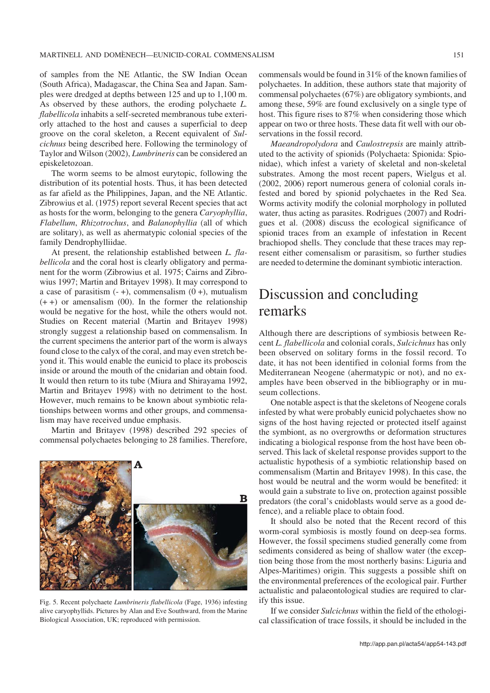of samples from the NE Atlantic, the SW Indian Ocean (South Africa), Madagascar, the China Sea and Japan. Sam− ples were dredged at depths between 125 and up to 1,100 m. As observed by these authors, the eroding polychaete *L. flabellicola* inhabits a self−secreted membranous tube exteri− orly attached to the host and causes a superficial to deep groove on the coral skeleton, a Recent equivalent of *Sul− cichnus* being described here. Following the terminology of Taylor and Wilson (2002), *Lumbrineris* can be considered an episkeletozoan.

The worm seems to be almost eurytopic, following the distribution of its potential hosts. Thus, it has been detected as far afield as the Philippines, Japan, and the NE Atlantic. Zibrowius et al. (1975) report several Recent species that act as hosts for the worm, belonging to the genera *Caryophyllia*, *Flabellum*, *Rhizotrochus*, and *Balanophyllia* (all of which are solitary), as well as ahermatypic colonial species of the family Dendrophylliidae.

At present, the relationship established between *L. fla− bellicola* and the coral host is clearly obligatory and perma− nent for the worm (Zibrowius et al. 1975; Cairns and Zibro− wius 1997; Martin and Britayev 1998). It may correspond to a case of parasitism  $(-+)$ , commensalism  $(0 +)$ , mutualism  $(+ +)$  or amensalism  $(00)$ . In the former the relationship would be negative for the host, while the others would not. Studies on Recent material (Martin and Britayev 1998) strongly suggest a relationship based on commensalism. In the current specimens the anterior part of the worm is always found close to the calyx of the coral, and may even stretch be− yond it. This would enable the eunicid to place its proboscis inside or around the mouth of the cnidarian and obtain food. It would then return to its tube (Miura and Shirayama 1992, Martin and Britayev 1998) with no detriment to the host. However, much remains to be known about symbiotic rela− tionships between worms and other groups, and commensa− lism may have received undue emphasis.

Martin and Britayev (1998) described 292 species of commensal polychaetes belonging to 28 families. Therefore,



Fig. 5. Recent polychaete *Lumbrineris flabellicola* (Fage, 1936) infesting alive caryophyllids. Pictures by Alan and Eve Southward, from the Marine Biological Association, UK; reproduced with permission.

commensals would be found in 31% of the known families of polychaetes. In addition, these authors state that majority of commensal polychaetes (67%) are obligatory symbionts, and among these, 59% are found exclusively on a single type of host. This figure rises to 87% when considering those which appear on two or three hosts. These data fit well with our ob− servations in the fossil record.

*Maeandropolydora* and *Caulostrepsis* are mainly attrib− uted to the activity of spionids (Polychaeta: Spionida: Spio− nidae), which infest a variety of skeletal and non−skeletal substrates. Among the most recent papers, Wielgus et al. (2002, 2006) report numerous genera of colonial corals in− fested and bored by spionid polychaetes in the Red Sea. Worms activity modify the colonial morphology in polluted water, thus acting as parasites. Rodrigues (2007) and Rodri− gues et al. (2008) discuss the ecological significance of spionid traces from an example of infestation in Recent brachiopod shells. They conclude that these traces may rep− resent either comensalism or parasitism, so further studies are needed to determine the dominant symbiotic interaction.

## Discussion and concluding remarks

Although there are descriptions of symbiosis between Re− cent *L. flabellicola* and colonial corals, *Sulcichnus* has only been observed on solitary forms in the fossil record. To date, it has not been identified in colonial forms from the Mediterranean Neogene (ahermatypic or not), and no ex− amples have been observed in the bibliography or in mu− seum collections.

One notable aspect is that the skeletons of Neogene corals infested by what were probably eunicid polychaetes show no signs of the host having rejected or protected itself against the symbiont, as no overgrowths or deformation structures indicating a biological response from the host have been ob− served. This lack of skeletal response provides support to the actualistic hypothesis of a symbiotic relationship based on commensalism (Martin and Britayev 1998). In this case, the host would be neutral and the worm would be benefited: it would gain a substrate to live on, protection against possible predators (the coral's cnidoblasts would serve as a good de− fence), and a reliable place to obtain food.

It should also be noted that the Recent record of this worm−coral symbiosis is mostly found on deep−sea forms. However, the fossil specimens studied generally come from sediments considered as being of shallow water (the excep− tion being those from the most northerly basins: Liguria and Alpes−Maritimes) origin. This suggests a possible shift on the environmental preferences of the ecological pair. Further actualistic and palaeontological studies are required to clar− ify this issue.

If we consider *Sulcichnus* within the field of the ethologi− cal classification of trace fossils, it should be included in the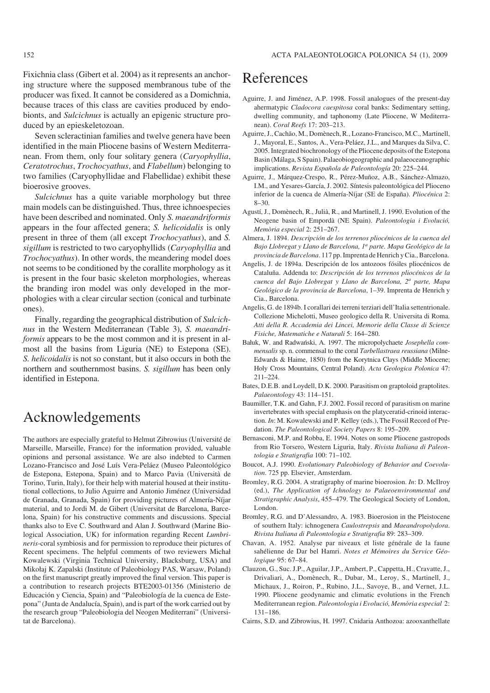Fixichnia class (Gibert et al. 2004) as it represents an anchor− ing structure where the supposed membranous tube of the producer was fixed. It cannot be considered as a Domichnia, because traces of this class are cavities produced by endo− bionts, and *Sulcichnus* is actually an epigenic structure pro− duced by an epieskeletozoan.

Seven scleractinian families and twelve genera have been identified in the main Pliocene basins of Western Mediterra− nean. From them, only four solitary genera (*Caryophyllia*, *Ceratotrochus*, *Trochocyathus*, and *Flabellum*) belonging to two families (Caryophyllidae and Flabellidae) exhibit these bioerosive grooves.

*Sulcichnus* has a quite variable morphology but three main models can be distinguished. Thus, three ichnoespecies have been described and nominated. Only *S. maeandriformis* appears in the four affected genera; *S. helicoidalis* is only present in three of them (all except *Trochocyathus*), and *S. sigillum* is restricted to two caryophyllids (*Caryophyllia* and *Trochocyathus*). In other words, the meandering model does not seems to be conditioned by the corallite morphology as it is present in the four basic skeleton morphologies, whereas the branding iron model was only developed in the mor− phologies with a clear circular section (conical and turbinate ones).

Finally, regarding the geographical distribution of *Sulcich− nus* in the Western Mediterranean (Table 3), *S. maeandri− formis* appears to be the most common and it is present in al− most all the basins from Liguria (NE) to Estepona (SE). *S. helicoidalis* is not so constant, but it also occurs in both the northern and southernmost basins. *S. sigillum* has been only identified in Estepona.

### Acknowledgements

The authors are especially grateful to Helmut Zibrowius (Université de Marseille, Marseille, France) for the information provided, valuable opinions and personal assistance. We are also indebted to Carmen Lozano−Francisco and José Luís Vera−Peláez (Museo Paleontológico de Estepona, Estepona, Spain) and to Marco Pavia (Università de Torino, Turin, Italy), for their help with material housed at their institu− tional collections, to Julio Aguirre and Antonio Jiménez (Universidad de Granada, Granada, Spain) for providing pictures of Almería−Níjar material, and to Jordi M. de Gibert (Universitat de Barcelona, Barce− lona, Spain) for his constructive comments and discussions. Special thanks also to Eve C. Southward and Alan J. Southward (Marine Bio− logical Association, UK) for information regarding Recent *Lumbri− neris*−coral symbiosis and for permission to reproduce their pictures of Recent specimens. The helpful comments of two reviewers Michał Kowalewski (Virginia Technical University, Blacksburg, USA) and Mikołaj K. Zapalski (Institute of Paleobiology PAS, Warsaw, Poland) on the first manuscript greatly improved the final version. This paper is a contribution to research projects BTE2003−01356 (Ministerio de Educación y Ciencia, Spain) and "Paleobiología de la cuenca de Este− pona" (Junta de Andalucía, Spain), and is part of the work carried out by the research group "Paleobiologia del Neogen Mediterrani" (Universi− tat de Barcelona).

### References

- Aguirre, J. and Jiménez, A.P. 1998. Fossil analogues of the present−day ahermatypic *Cladocora caespitosa* coral banks: Sedimentary setting, dwelling community, and taphonomy (Late Pliocene, W Mediterra− nean). *Coral Reefs* 17: 203–213.
- Aguirre, J., Cachão, M., Domènech, R., Lozano−Francisco, M.C., Martinell, J., Mayoral, E., Santos, A., Vera−Peláez, J.L., and Marques da Silva, C. 2005. Integrated biochronology of the Pliocene deposits of the Estepona Basin (Málaga, S Spain). Palaeobiogeographic and palaeoceanographic implications. *Revista Española de Paleontología* 20: 225–244.
- Aguirre, J., Márquez−Crespo, R., Pérez−Muñoz, A.B., Sánchez−Almazo, I.M., and Yesares−García, J. 2002. Síntesis paleontológica del Plioceno inferior de la cuenca de Almería−Níjar (SE de España). *Pliocénica* 2: 8–30.
- Agustí, J., Domènech, R., Julià, R., and Martinell, J. 1990. Evolution of the Neogene basin of Empordà (NE Spain). *Paleontologia i Evolució, Memòria especial* 2: 251–267.
- Almera, J. 1894. *Descripción de los terrenos pliocénicos de la cuenca del Bajo Llobregat y Llano de Barcelona, 1<sup>a</sup> parte. Mapa Geológico de la provincia de Barcelona*. 117 pp. Imprenta de Henrich y Cia., Barcelona.
- Angelis, J. de 1894a. Descripción de los antozoos fósiles pliocénicos de Cataluña. Addenda to: *Descripción de los terrenos pliocénicos de la cuenca del Bajo Llobregat y Llano de Barcelona, 2<sup>a</sup> parte, Mapa Geológico de la provincia de Barcelona*, 1–39. Imprenta de Henrich y Cia., Barcelona.
- Angelis, G. de 1894b. I corallari dei terreni terziari dell'Italia settentrionale. Collezione Michelotti, Museo geologico della R. Universita di Roma. *Atti della R. Accademia dei Lincei, Memorie della Classe di Scienze Fisiche, Matematiche e Naturali* 5: 164–280.
- Bałuk, W. and Radwański, A. 1997. The micropolychaete *Josephella com− mensalis* sp. n. commensal to the coral *Tarbellastraea reussiana* (Milne− Edwards & Haime, 1850) from the Korytnica Clays (Middle Miocene; Holy Cross Mountains, Central Poland). *Acta Geologica Polonica* 47: 211–224.
- Bates, D.E.B. and Loydell, D.K. 2000. Parasitism on graptoloid graptolites. *Palaeontology* 43: 114–151.
- Baumiller, T.K. and Gahn, F.J. 2002. Fossil record of parasitism on marine invertebrates with special emphasis on the platyceratid−crinoid interac− tion. *In*: M. Kowalewski and P. Kelley (eds.), The Fossil Record of Pre− dation. *The Paleontological Society Papers* 8: 195–209.
- Bernasconi, M.P. and Robba, E. 1994. Notes on some Pliocene gastropods from Rio Torsero, Western Liguria, Italy. *Rivista Italiana di Paleon− tologia e Stratigrafia* 100: 71–102.
- Boucot, A.J. 1990. *Evolutionary Paleobiology of Behavior and Coevolu− tion*. 725 pp. Elsevier, Amsterdam.
- Bromley, R.G. 2004. A stratigraphy of marine bioerosion. *In*: D. McIlroy (ed.), *The Application of Ichnology to Palaeoenvironmental and Stratigraphic Analysis*, 455–479. The Geological Society of London, London.
- Bromley, R.G. and D'Alessandro, A. 1983. Bioerosion in the Pleistocene of southern Italy: ichnogenera *Caulostrepsis* and *Maeandropolydora*. *Rivista Italiana di Paleontologia e Stratigrafia* 89: 283–309.
- Chavan, A. 1952. Analyse par niveaux et liste générale de la faune sahélienne de Dar bel Hamri. *Notes et Mémoires du Service Géo− logique* 95: 67–84.
- Clauzon, G., Suc. J.P., Aguilar, J.P., Ambert, P., Cappetta, H., Cravatte, J., Drivaliari, A., Domènech, R., Dubar, M., Leroy, S., Martinell, J., Michaux, J., Roiron, P., Rubino, J.L., Savoye, B., and Vernet, J.L. 1990. Pliocene geodynamic and climatic evolutions in the French Mediterranean region. *Paleontologia i Evolució, Memòria especial* 2: 131–186.
- Cairns, S.D. and Zibrowius, H. 1997. Cnidaria Anthozoa: azooxanthellate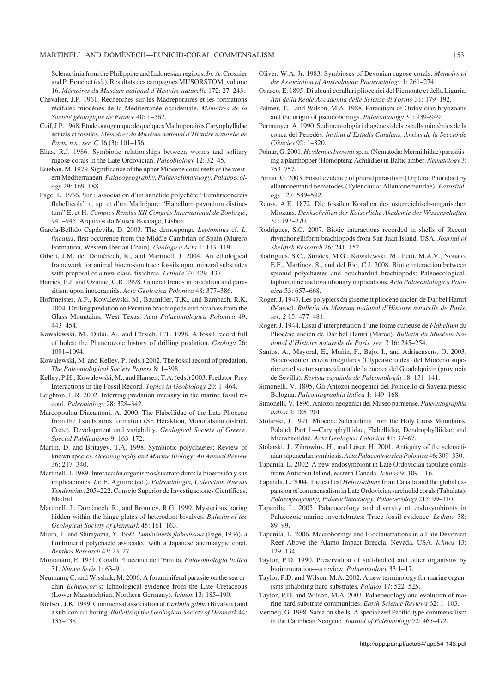#### MARTINELL AND DOMÈNECH—EUNICID−CORAL COMMENSALISM 153

Scleractinia from the Philippine and Indonesian regions. *In*: A. Crosnier and P. Bouchet (ed.), Resultats des campagnes MUSORSTOM, volume 16. *Mémoires du Muséum national d'Histoire naturelle* 172: 27–243.

- Chevalier, J.P. 1961. Recherches sur les Madreporaires et les formations récifales miocènes de la Mediterranée occidentale. *Mémoires de la Société géologique de France* 40: 1–562.
- Cuif, J.P. 1968. Etude ontogenique de quelques Madreporaires Caryophyllidae actuels et fossiles. *Mémoires du Muséum national d'Histoire naturelle de Paris, n.s., ser. C* 16 (3): 101–156.
- Elias, R.J. 1986. Symbiotic relationships between worms and solitary rugose corals in the Late Ordovician. *Paleobiology* 12: 32–45.
- Esteban, M. 1979. Significance of the upper Miocene coral reefs of the west− ern Mediterranean. *Palaeogeography, Palaeoclimatology, Palaeoecol− ogy* 29: 169–188.
- Fage, L. 1936. Sur l'association d'un annélide polychète "Lumbriconereis flabellicola" n. sp. et d'un Madrépore "Flabellum pavonium distinc− tum" E. et H. *Comptes Rendus XII Congrès International de Zoologie*, 941–945. Arquivos do Museu Bocoage, Lisbon.
- García−Bellido Capdevila, D. 2003. The demosponge *Leptomitus* cf. *L. lineatus*, first occurence from the Middle Cambrian of Spain (Murero Formation, Western Iberian Chain). *Geologica Acta* 1: 113–119.
- Gibert, J.M. de, Domènech, R., and Martinell, J. 2004. An ethological framework for animal bioerosion trace fossils upon mineral substrates with proposal of a new class, fixichnia. *Lethaia* 37: 429–437.
- Harries, P.J. and Ozanne, C.R. 1998. General trends in predation and para− sitism upon inoceramids. *Acta Geologica Polonica* 48: 377–386.
- Hoffmeister, A.P., Kowalewski, M., Baumiller, T.K., and Bambach, R.K. 2004. Drilling predation on Permian brachiopods and bivalves from the Glass Mountains, West Texas. *Acta Palaeontologica Polonica* 49: 443–454.
- Kowalewski, M., Dulai, A., and Fürsich, F.T. 1998. A fossil record full of holes; the Phanerozoic history of drilling predation. *Geology* 26: 1091–1094.
- Kowalewski, M. and Kelley, P. (eds.) 2002. The fossil record of predation. *The Paleontological Society Papers* 8: 1–398.
- Kelley, P.H., Kowalewski, M., and Hansen, T.A. (eds.) 2003. Predator−Prey Interactions in the Fossil Record. *Topics in Geobiology* 20: 1–464.
- Leighton, L.R. 2002. Inferring predation intensity in the marine fossil re− cord. *Paleobiology* 28: 328–342.
- Marcopoulou−Diacantoni, A. 2000. The Flabellidae of the Late Pliocene from the Tsoutsouros formation (SE Heraklion, Monofatsiou district, Crete). Development and variability. *Geological Society of Greece, Special Publications* 9: 163–172.
- Martin, D. and Britayev, T.A. 1998. Symbiotic polychaetes: Review of known species. *Oceanography and Marine Biology: An Annual Review* 36: 217–340.
- Martinell, J. 1989. Interacción organismos/sustrato duro: la bioerosión y sus implicaciones. *In*: E. Aguirre (ed.), *Paleontología, Colecctión Nuevas Tendencias*, 205–222. Consejo Superior de Investigaciones Científicas, Madrid.
- Martinell, J., Domènech, R., and Bromley, R.G. 1999. Mysterious boring hidden within the hinge plates of heterodont bivalves. *Bulletin of the Geological Society of Denmark* 45: 161–163.
- Miura, T. and Shirayama, Y. 1992. *Lumbrineris flabellicola* (Fage, 1936), a lumbrinerid polychaete associated with a Japanese ahermatypic coral. *Benthos Research* 43: 23–27.
- Montanaro, E. 1931. Coralli Pliocenici dell'Emilia. *Palaeontologia Italica* 31, *Nuova Serie* 1: 63–91.
- Neumann, C. and Wisshak, M. 2006. A foraminiferal parasite on the sea ur− chin *Echinocorys*: Ichnological evidence from the Late Cretaceous (Lower Maastrichtian, Northern Germany). *Ichnos* 13: 185–190.
- Nielsen, J.K. 1999. Commensal association of*Corbula gibba* (Bivalvia) and a sub−conical boring, *Bulletin of the Geological Society of Denmark* 44: 135–138.
- Oliver, W.A. Jr. 1983. Symbioses of Devonian rugose corals. *Memoirs of the Association of Australasian Palaeontology* 1: 261–274.
- Osasco, E. 1895. Di alcuni corallari pliocenici del Piemonte et della Liguria. *Atti della Reale Accademia delle Scienze di Torino* 31: 179–192.
- Palmer, T.J. and Wilson, M.A. 1988. Parasitism of Ordovician bryozoans and the origin of pseudoborings. *Palaeontology* 31: 939–949.
- Permanyer, A. 1990. Sedimentologia i diagènesi dels esculls miocènics de la conca del Penedès. *Institut d'Estudis Catalans, Arxius de la Secció de Ciències* 92: 1–320.
- Poinar, G. 2001. *Heydenius brownii*sp. n. (Nematoda: Mermithidae) parasitis− ing a planthopper (Homoptera: Achilidae) in Baltic amber. *Nematology* 3: 753–757.
- Poinar, G. 2003. Fossil evidence of phorid parasitism (Diptera: Phoridae) by allantonematid nematodes (Tylenchida: Allantonematidae). *Parasitol− ogy* 127: 589–592.
- Reuss, A.E. 1872. Die fossilen Korallen des österreichisch−ungarischen Miozans. *Denkschriften der Kaiserliche Akademie der Wissenschaften* 31: 197–270.
- Rodrigues, S.C. 2007. Biotic interactions recorded in shells of Recent rhynchonelliform brachiopods from San Juan Island, USA. *Journal of Shellfish Research* 26: 241–152.
- Rodrigues, S.C., Simões, M.G., Kowalewski, M., Petti, M.A.V., Nonato, E.F., Martinez, S., and del Rio, C.J. 2008. Biotic interaction between spionid polychaetes and bouchardiid brachiopods: Paleoecological, taphonomic and evolutionary implications. *Acta Palaeontologica Polo− nica* 53: 657–668.
- Roger, J. 1943. Les polypiers du gisement pliocène ancien de Dar bel Hamri (Maroc). *Bulletin du Muséum national d'Histoire naturelle de Paris, ser. 2* 15: 477–481.
- Roger, J. 1944. Essai d'interprétation d'une forme curieuse de *Flabellum* du Pliocène ancien de Dar bel Hamri (Maroc). *Bulletin du Muséum Na− tional d'Histoire naturelle de Paris, ser. 2* 16: 245–254.
- Santos, A., Mayoral, E., Muñiz, F., Bajo, I., and Adriaensens, O. 2003. Bioerosión en erizos irregulares (Clypeasteroidea) del Mioceno supe− rior en el sector suroccidental de la cuenca del Guadalquivir (provincia de Sevilla). *Revista española de Paleontología* 18: 131–141.
- Simonelli, V. 1895. Gli Antozoi neogenici del Ponicello di Savena presso Bologna. *Paleontographia italica* 1: 149–168.
- Simonelli, V. 1896. Antozoi neogenici del Museo parmense. *Paleontographia italica* 2: 185–201.
- Stolarski, J. 1991. Miocene Scleractinia from the Holy Cross Mountains, Poland; Part 1—Caryophylliidae, Flabellidae, Dendrophylliidae, and Micrabaciidae. *Acta Geologica Polonica* 41: 37–67.
- Stolarski, J., Zibrowius, H., and Löser, H. 2001. Antiquity of the scleracti− nian−sipunculan symbiosis.*Acta Palaeontologica Polonica* 46: 309–330.
- Tapanila, L. 2002. A new endosymbiont in Late Ordovician tabulate corals from Anticosti Island, eastern Canada. *Ichnos* 9: 109–116.
- Tapanila, L. 2004. The earliest *Helicosalpinx* from Canada and the global ex− pansion of commensalism in Late Ordovician sarcinulid corals (Tabulata). *Palaeogeography, Palaeoclimatology, Palaeoecology* 215: 99–110.
- Tapanila, L. 2005. Palaeoecology and diversity of endosymbionts in Palaeozoic marine invertebrates: Trace fossil evidence. *Lethaia* 38: 89–99.
- Tapanila, L. 2006. Macroborings and Bioclaustrations in a Late Devonian Reef Above the Alamo Impact Breccia, Nevada, USA. *Ichnos* 13: 129–134.
- Taylor, P.D. 1990. Preservation of soft−bodied and other organisms by bioimmuration—a review. *Palaeontology* 33:1–17.
- Taylor, P.D. and Wilson, M.A. 2002. A new terminology for marine organ− isms inhabiting hard substrates. *Palaios* 17: 522–525.
- Taylor, P.D. and Wilson, M.A. 2003. Palaeoecology and evolution of ma− rine hard substrate communities. *Earth−Science Reviews* 62: 1–103.
- Vermeij, G. 1998. Sabia on shells: A specialized Pacific−type commensalism in the Caribbean Neogene. *Journal of Paleontology* 72: 465–472.